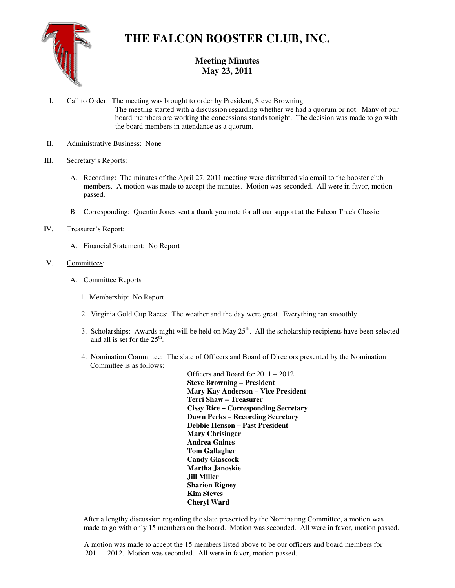

# **THE FALCON BOOSTER CLUB, INC.**

# **Meeting Minutes May 23, 2011**

- I. Call to Order: The meeting was brought to order by President, Steve Browning. The meeting started with a discussion regarding whether we had a quorum or not. Many of our board members are working the concessions stands tonight. The decision was made to go with the board members in attendance as a quorum.
- II. Administrative Business: None

# III. Secretary's Reports:

- A. Recording: The minutes of the April 27, 2011 meeting were distributed via email to the booster club members. A motion was made to accept the minutes. Motion was seconded. All were in favor, motion passed.
- B. Corresponding: Quentin Jones sent a thank you note for all our support at the Falcon Track Classic.

## IV. Treasurer's Report:

A. Financial Statement: No Report

## V. Committees:

- A. Committee Reports
	- 1. Membership: No Report
	- 2. Virginia Gold Cup Races: The weather and the day were great. Everything ran smoothly.
- 3. Scholarships: Awards night will be held on May  $25<sup>th</sup>$ . All the scholarship recipients have been selected and all is set for the  $25<sup>th</sup>$ .
	- 4. Nomination Committee: The slate of Officers and Board of Directors presented by the Nomination Committee is as follows:

 Officers and Board for 2011 – 2012 **Steve Browning – President Mary Kay Anderson – Vice President Terri Shaw – Treasurer Cissy Rice – Corresponding Secretary Dawn Perks – Recording Secretary Debbie Henson – Past President Mary Chrisinger Andrea Gaines Tom Gallagher Candy Glascock Martha Janoskie Jill Miller Sharion Rigney Kim Steves Cheryl Ward** 

After a lengthy discussion regarding the slate presented by the Nominating Committee, a motion was made to go with only 15 members on the board. Motion was seconded. All were in favor, motion passed.

 A motion was made to accept the 15 members listed above to be our officers and board members for 2011 – 2012. Motion was seconded. All were in favor, motion passed.